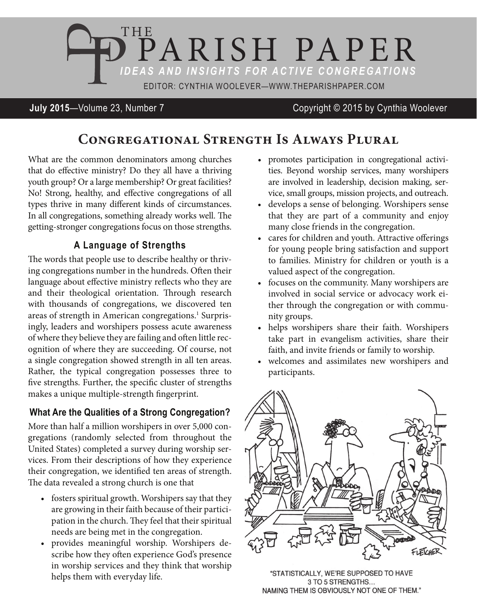

**July 2015**—Volume 23, Number 7 Copyright © 2015 by Cynthia Woolever

# **Congregational Strength Is Always Plural**

What are the common denominators among churches that do efective ministry? Do they all have a thriving youth group? Or a large membership? Or great facilities? No! Strong, healthy, and efective congregations of all types thrive in many diferent kinds of circumstances. In all congregations, something already works well. The getting-stronger congregations focus on those strengths.

### **A Language of Strengths**

he words that people use to describe healthy or thriving congregations number in the hundreds. Oten their language about efective ministry relects who they are and their theological orientation. Through research with thousands of congregations, we discovered ten areas of strength in American congregations.<sup>1</sup> Surprisingly, leaders and worshipers possess acute awareness of where they believe they are failing and oten little recognition of where they are succeeding. Of course, not a single congregation showed strength in all ten areas. Rather, the typical congregation possesses three to five strengths. Further, the specific cluster of strengths makes a unique multiple-strength fingerprint.

### **What Are the Qualities of a Strong Congregation?**

More than half a million worshipers in over 5,000 congregations (randomly selected from throughout the United States) completed a survey during worship services. From their descriptions of how they experience their congregation, we identified ten areas of strength. he data revealed a strong church is one that

- fosters spiritual growth. Worshipers say that they are growing in their faith because of their participation in the church. They feel that their spiritual needs are being met in the congregation.
- • provides meaningful worship. Worshipers describe how they often experience God's presence in worship services and they think that worship helps them with everyday life.
- promotes participation in congregational activities. Beyond worship services, many worshipers are involved in leadership, decision making, service, small groups, mission projects, and outreach.
- • develops a sense of belonging. Worshipers sense that they are part of a community and enjoy many close friends in the congregation.
- cares for children and youth. Attractive offerings for young people bring satisfaction and support to families. Ministry for children or youth is a valued aspect of the congregation.
- focuses on the community. Many worshipers are involved in social service or advocacy work either through the congregation or with community groups.
- helps worshipers share their faith. Worshipers take part in evangelism activities, share their faith, and invite friends or family to worship.
- • welcomes and assimilates new worshipers and participants.



"STATISTICALLY, WE'RE SUPPOSED TO HAVE 3 TO 5 STRENGTHS... NAMING THEM IS OBVIOUSLY NOT ONE OF THEM."